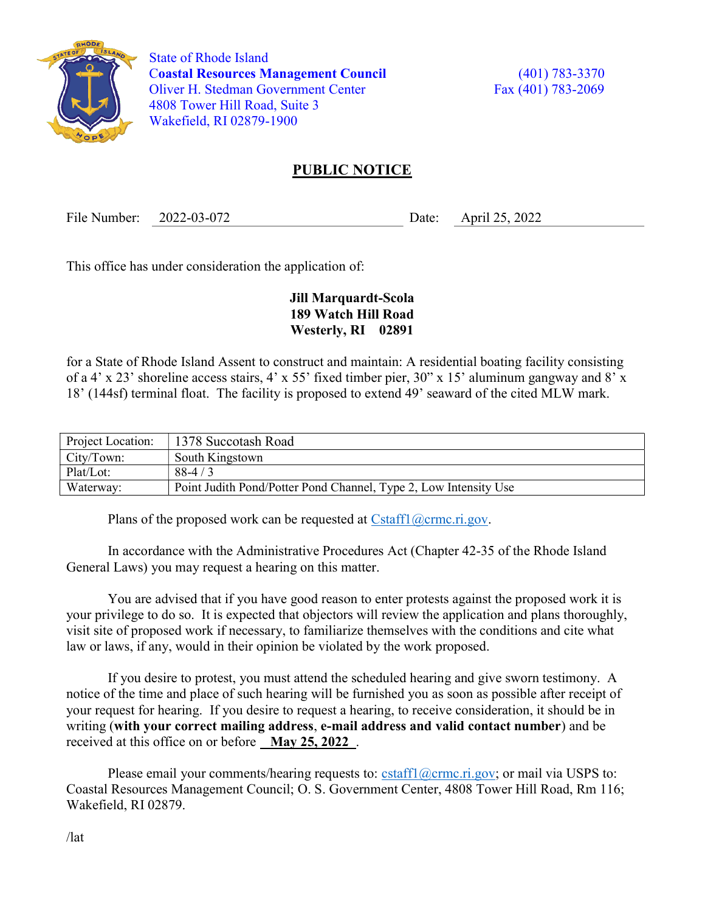

 State of Rhode Island Coastal Resources Management Council (401) 783-3370 Oliver H. Stedman Government Center Fax (401) 783-2069 4808 Tower Hill Road, Suite 3 Wakefield, RI 02879-1900

## PUBLIC NOTICE

File Number: 2022-03-072 Date: April 25, 2022

This office has under consideration the application of:

## Jill Marquardt-Scola 189 Watch Hill Road Westerly, RI 02891

for a State of Rhode Island Assent to construct and maintain: A residential boating facility consisting of a 4' x 23' shoreline access stairs, 4' x 55' fixed timber pier, 30" x 15' aluminum gangway and 8' x 18' (144sf) terminal float. The facility is proposed to extend 49' seaward of the cited MLW mark.

| Project Location: | 1378 Succotash Road                                              |
|-------------------|------------------------------------------------------------------|
| City/Town:        | South Kingstown                                                  |
| Plat/Lot:         | $88-4/3$                                                         |
| Waterway:         | Point Judith Pond/Potter Pond Channel, Type 2, Low Intensity Use |

Plans of the proposed work can be requested at  $Cstat1(\omega \text{crmc.ri.gov.})$ 

In accordance with the Administrative Procedures Act (Chapter 42-35 of the Rhode Island General Laws) you may request a hearing on this matter.

You are advised that if you have good reason to enter protests against the proposed work it is your privilege to do so. It is expected that objectors will review the application and plans thoroughly, visit site of proposed work if necessary, to familiarize themselves with the conditions and cite what law or laws, if any, would in their opinion be violated by the work proposed.

If you desire to protest, you must attend the scheduled hearing and give sworn testimony. A notice of the time and place of such hearing will be furnished you as soon as possible after receipt of your request for hearing. If you desire to request a hearing, to receive consideration, it should be in writing (with your correct mailing address, e-mail address and valid contact number) and be received at this office on or before May 25, 2022 .

Please email your comments/hearing requests to: cstaff1@crmc.ri.gov; or mail via USPS to: Coastal Resources Management Council; O. S. Government Center, 4808 Tower Hill Road, Rm 116; Wakefield, RI 02879.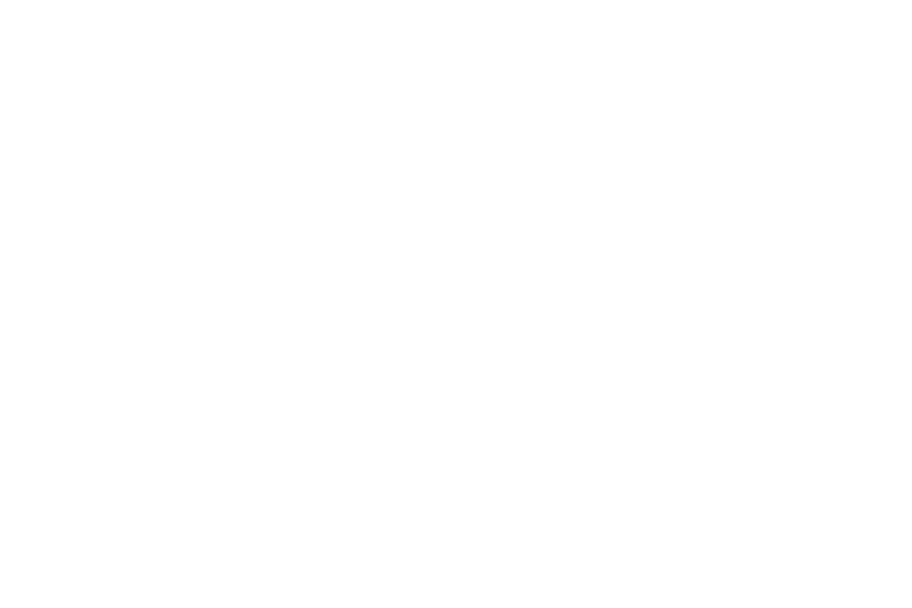